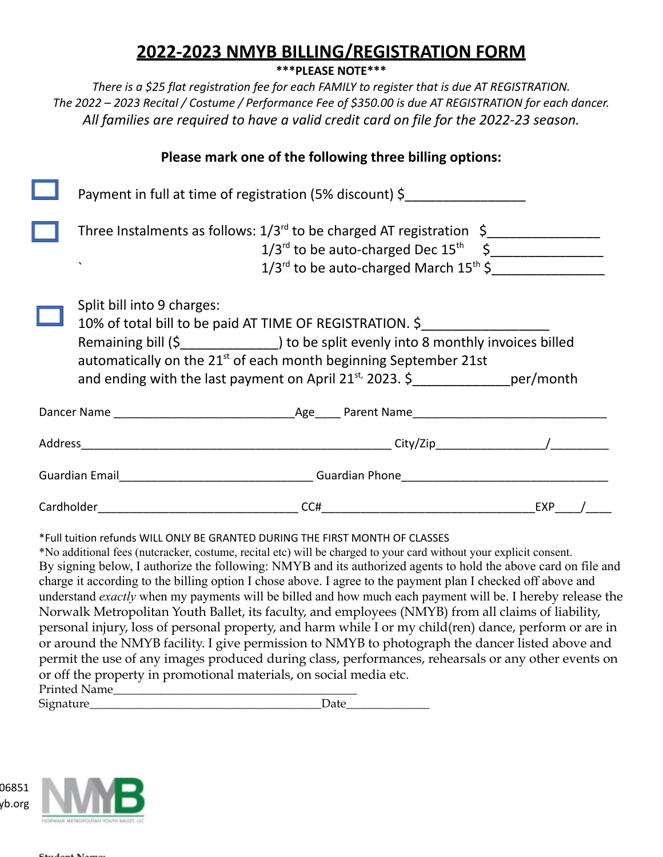## **2022-2023 NMYB BILLING/REGISTRATION FORM**

**\*\*\*PLEASE NOTE\*\*\***

*There is a \$25 flat registration fee for each FAMILY to register that is due AT REGISTRATION. The 2022 – 2023 Recital / Costume / Performance Fee of \$350.00 is due AT REGISTRATION for each dancer. All families are required to have a valid credit card on file for the 2022-23 season.*

|                                                                              | Please mark one of the following three billing options:                                                                                                                                                                                                  |  |  |  |
|------------------------------------------------------------------------------|----------------------------------------------------------------------------------------------------------------------------------------------------------------------------------------------------------------------------------------------------------|--|--|--|
|                                                                              | Payment in full at time of registration (5% discount) \$___________________                                                                                                                                                                              |  |  |  |
|                                                                              | Three Instalments as follows: $1/3^{rd}$ to be charged AT registration $\sim$<br>$1/3^{rd}$ to be auto-charged Dec $15^{th}$ \$<br>$1/3^{rd}$ to be auto-charged March $15^{th}$ \$<br>$\lambda$                                                         |  |  |  |
|                                                                              | Split bill into 9 charges:<br>10% of total bill to be paid AT TIME OF REGISTRATION. \$<br>automatically on the 21 <sup>st</sup> of each month beginning September 21st<br>and ending with the last payment on April 21 <sup>st,</sup> 2023. \$ per/month |  |  |  |
|                                                                              |                                                                                                                                                                                                                                                          |  |  |  |
|                                                                              |                                                                                                                                                                                                                                                          |  |  |  |
|                                                                              |                                                                                                                                                                                                                                                          |  |  |  |
|                                                                              |                                                                                                                                                                                                                                                          |  |  |  |
| *Full tuition refunds WILL ONLY BE GRANTED DURING THE FIRST MONTH OF CLASSES |                                                                                                                                                                                                                                                          |  |  |  |

\*No additional fees (nutcracker, costume, recital etc) will be charged to your card without your explicit consent. By signing below, I authorize the following: NMYB and its authorized agents to hold the above card on file and charge it according to the billing option I chose above. I agree to the payment plan I checked off above and understand *exactly* when my payments will be billed and how much each payment will be. I hereby release the Norwalk Metropolitan Youth Ballet, its faculty, and employees (NMYB) from all claims of liability, personal injury, loss of personal property, and harm while I or my child(ren) dance, perform or are in or around the NMYB facility. I give permission to NMYB to photograph the dancer listed above and permit the use of any images produced during class, performances, rehearsals or any other events on or off the property in promotional materials, on social media etc. Printed Name

Signature\_\_\_\_\_\_\_\_\_\_\_\_\_\_\_\_\_\_\_\_\_\_\_\_\_\_\_\_\_\_\_\_\_\_\_\_\_\_\_Date\_\_\_\_\_\_\_\_\_\_\_\_\_\_